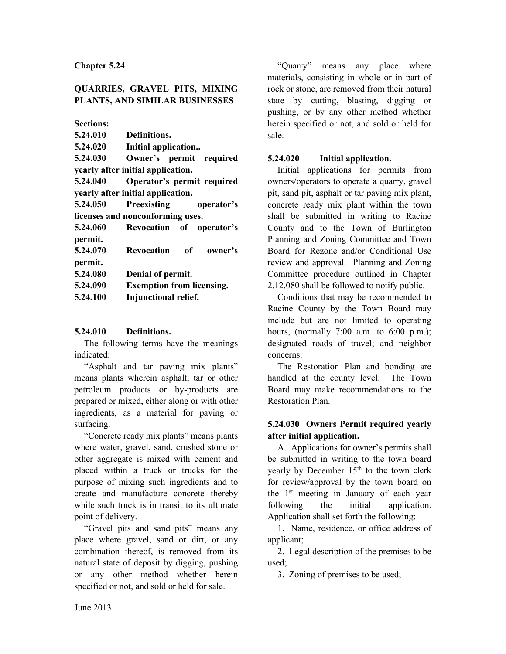## **QUARRIES, GRAVEL PITS, MIXING PLANTS, AND SIMILAR BUSINESSES**

**Sections:**

| Definitions.                                 |
|----------------------------------------------|
| Initial application                          |
| Owner's permit required                      |
| yearly after initial application.            |
| Operator's permit required                   |
| yearly after initial application.            |
| <b>Preexisting</b><br>5.24.050<br>operator's |
| licenses and nonconforming uses.             |
| 5.24.060 Revocation of operator's            |
|                                              |
| Revocation of owner's                        |
|                                              |
| Denial of permit.                            |
| <b>Exemption from licensing.</b>             |
| Injunctional relief.                         |
|                                              |

### **5.24.010 Definitions.**

The following terms have the meanings indicated:

"Asphalt and tar paving mix plants" means plants wherein asphalt, tar or other petroleum products or by-products are prepared or mixed, either along or with other ingredients, as a material for paving or surfacing.

"Concrete ready mix plants" means plants where water, gravel, sand, crushed stone or other aggregate is mixed with cement and placed within a truck or trucks for the purpose of mixing such ingredients and to create and manufacture concrete thereby while such truck is in transit to its ultimate point of delivery.

"Gravel pits and sand pits" means any place where gravel, sand or dirt, or any combination thereof, is removed from its natural state of deposit by digging, pushing or any other method whether herein specified or not, and sold or held for sale.

"Quarry" means any place where materials, consisting in whole or in part of rock or stone, are removed from their natural state by cutting, blasting, digging or pushing, or by any other method whether herein specified or not, and sold or held for sale.

### **5.24.020 Initial application.**

Initial applications for permits from owners/operators to operate a quarry, gravel pit, sand pit, asphalt or tar paving mix plant, concrete ready mix plant within the town shall be submitted in writing to Racine County and to the Town of Burlington Planning and Zoning Committee and Town Board for Rezone and/or Conditional Use review and approval. Planning and Zoning Committee procedure outlined in Chapter 2.12.080 shall be followed to notify public.

Conditions that may be recommended to Racine County by the Town Board may include but are not limited to operating hours, (normally 7:00 a.m. to 6:00 p.m.); designated roads of travel; and neighbor concerns.

The Restoration Plan and bonding are handled at the county level. The Town Board may make recommendations to the Restoration Plan.

## **5.24.030 Owners Permit required yearly after initial application.**

A. Applications for owner's permits shall be submitted in writing to the town board yearly by December 15<sup>th</sup> to the town clerk for review/approval by the town board on the 1st meeting in January of each year following the initial application. Application shall set forth the following:

1. Name, residence, or office address of applicant;

2. Legal description of the premises to be used;

3. Zoning of premises to be used;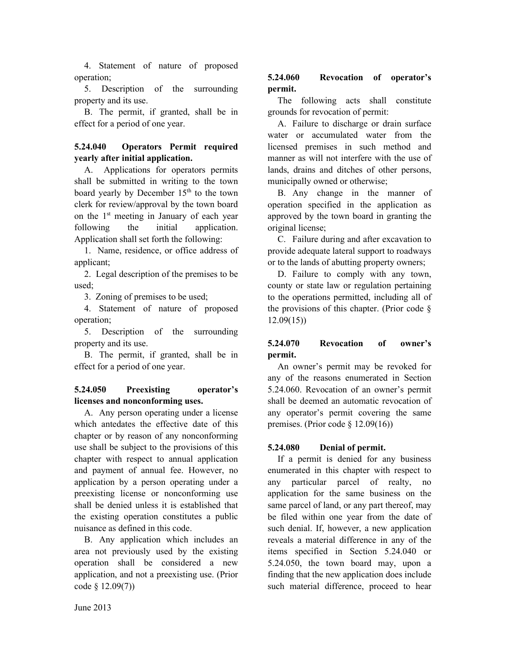4. Statement of nature of proposed operation;

5. Description of the surrounding property and its use.

B. The permit, if granted, shall be in effect for a period of one year.

## **5.24.040 Operators Permit required yearly after initial application.**

A. Applications for operators permits shall be submitted in writing to the town board yearly by December  $15<sup>th</sup>$  to the town clerk for review/approval by the town board on the 1st meeting in January of each year following the initial application. Application shall set forth the following:

1. Name, residence, or office address of applicant;

2. Legal description of the premises to be used;

3. Zoning of premises to be used;

4. Statement of nature of proposed operation;

5. Description of the surrounding property and its use.

B. The permit, if granted, shall be in effect for a period of one year.

### **5.24.050 Preexisting operator's licenses and nonconforming uses.**

A. Any person operating under a license which antedates the effective date of this chapter or by reason of any nonconforming use shall be subject to the provisions of this chapter with respect to annual application and payment of annual fee. However, no application by a person operating under a preexisting license or nonconforming use shall be denied unless it is established that the existing operation constitutes a public nuisance as defined in this code.

B. Any application which includes an area not previously used by the existing operation shall be considered a new application, and not a preexisting use. (Prior code § 12.09(7))

# **5.24.060 Revocation of operator's permit.**

The following acts shall constitute grounds for revocation of permit:

A. Failure to discharge or drain surface water or accumulated water from the licensed premises in such method and manner as will not interfere with the use of lands, drains and ditches of other persons, municipally owned or otherwise;

B. Any change in the manner of operation specified in the application as approved by the town board in granting the original license;

C. Failure during and after excavation to provide adequate lateral support to roadways or to the lands of abutting property owners;

D. Failure to comply with any town, county or state law or regulation pertaining to the operations permitted, including all of the provisions of this chapter. (Prior code § 12.09(15))

# **5.24.070 Revocation of owner's permit.**

An owner's permit may be revoked for any of the reasons enumerated in Section 5.24.060. Revocation of an owner's permit shall be deemed an automatic revocation of any operator's permit covering the same premises. (Prior code § 12.09(16))

# **5.24.080 Denial of permit.**

If a permit is denied for any business enumerated in this chapter with respect to any particular parcel of realty, no application for the same business on the same parcel of land, or any part thereof, may be filed within one year from the date of such denial. If, however, a new application reveals a material difference in any of the items specified in Section 5.24.040 or 5.24.050, the town board may, upon a finding that the new application does include such material difference, proceed to hear